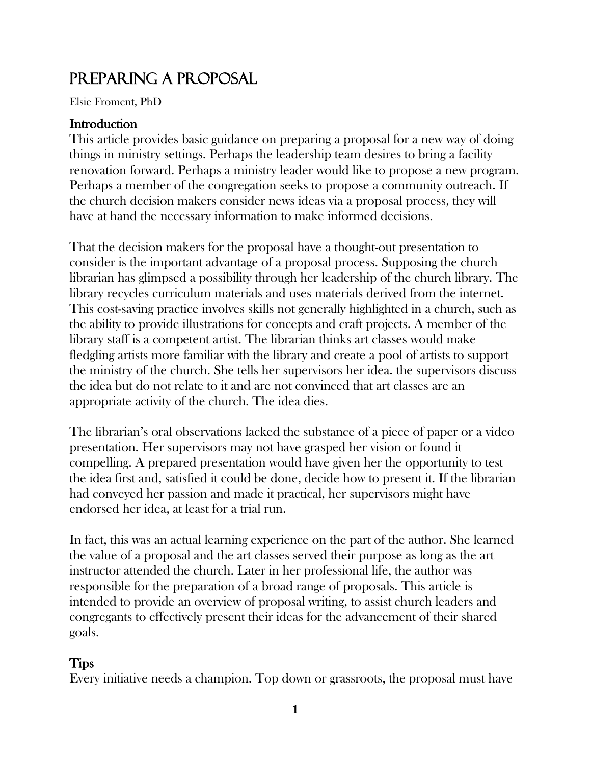# PREPARING A PROPOSAL

Elsie Froment, PhD

# **Introduction**

This article provides basic guidance on preparing a proposal for a new way of doing things in ministry settings. Perhaps the leadership team desires to bring a facility renovation forward. Perhaps a ministry leader would like to propose a new program. Perhaps a member of the congregation seeks to propose a community outreach. If the church decision makers consider news ideas via a proposal process, they will have at hand the necessary information to make informed decisions.

That the decision makers for the proposal have a thought-out presentation to consider is the important advantage of a proposal process. Supposing the church librarian has glimpsed a possibility through her leadership of the church library. The library recycles curriculum materials and uses materials derived from the internet. This cost-saving practice involves skills not generally highlighted in a church, such as the ability to provide illustrations for concepts and craft projects. A member of the library staff is a competent artist. The librarian thinks art classes would make fledgling artists more familiar with the library and create a pool of artists to support the ministry of the church. She tells her supervisors her idea. the supervisors discuss the idea but do not relate to it and are not convinced that art classes are an appropriate activity of the church. The idea dies.

The librarian's oral observations lacked the substance of a piece of paper or a video presentation. Her supervisors may not have grasped her vision or found it compelling. A prepared presentation would have given her the opportunity to test the idea first and, satisfied it could be done, decide how to present it. If the librarian had conveyed her passion and made it practical, her supervisors might have endorsed her idea, at least for a trial run.

In fact, this was an actual learning experience on the part of the author. She learned the value of a proposal and the art classes served their purpose as long as the art instructor attended the church. Later in her professional life, the author was responsible for the preparation of a broad range of proposals. This article is intended to provide an overview of proposal writing, to assist church leaders and congregants to effectively present their ideas for the advancement of their shared goals.

# Tips

Every initiative needs a champion. Top down or grassroots, the proposal must have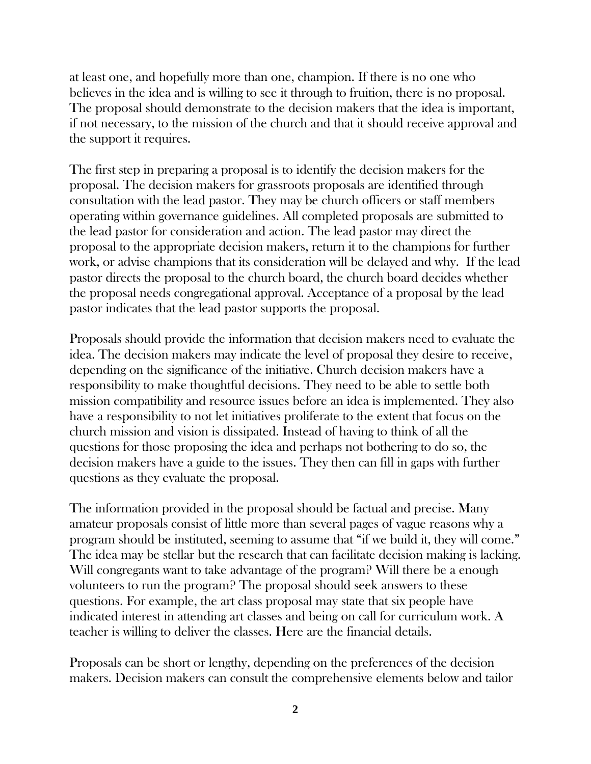at least one, and hopefully more than one, champion. If there is no one who believes in the idea and is willing to see it through to fruition, there is no proposal. The proposal should demonstrate to the decision makers that the idea is important, if not necessary, to the mission of the church and that it should receive approval and the support it requires.

The first step in preparing a proposal is to identify the decision makers for the proposal. The decision makers for grassroots proposals are identified through consultation with the lead pastor. They may be church officers or staff members operating within governance guidelines. All completed proposals are submitted to the lead pastor for consideration and action. The lead pastor may direct the proposal to the appropriate decision makers, return it to the champions for further work, or advise champions that its consideration will be delayed and why. If the lead pastor directs the proposal to the church board, the church board decides whether the proposal needs congregational approval. Acceptance of a proposal by the lead pastor indicates that the lead pastor supports the proposal.

Proposals should provide the information that decision makers need to evaluate the idea. The decision makers may indicate the level of proposal they desire to receive, depending on the significance of the initiative. Church decision makers have a responsibility to make thoughtful decisions. They need to be able to settle both mission compatibility and resource issues before an idea is implemented. They also have a responsibility to not let initiatives proliferate to the extent that focus on the church mission and vision is dissipated. Instead of having to think of all the questions for those proposing the idea and perhaps not bothering to do so, the decision makers have a guide to the issues. They then can fill in gaps with further questions as they evaluate the proposal.

The information provided in the proposal should be factual and precise. Many amateur proposals consist of little more than several pages of vague reasons why a program should be instituted, seeming to assume that "if we build it, they will come." The idea may be stellar but the research that can facilitate decision making is lacking. Will congregants want to take advantage of the program? Will there be a enough volunteers to run the program? The proposal should seek answers to these questions. For example, the art class proposal may state that six people have indicated interest in attending art classes and being on call for curriculum work. A teacher is willing to deliver the classes. Here are the financial details.

Proposals can be short or lengthy, depending on the preferences of the decision makers. Decision makers can consult the comprehensive elements below and tailor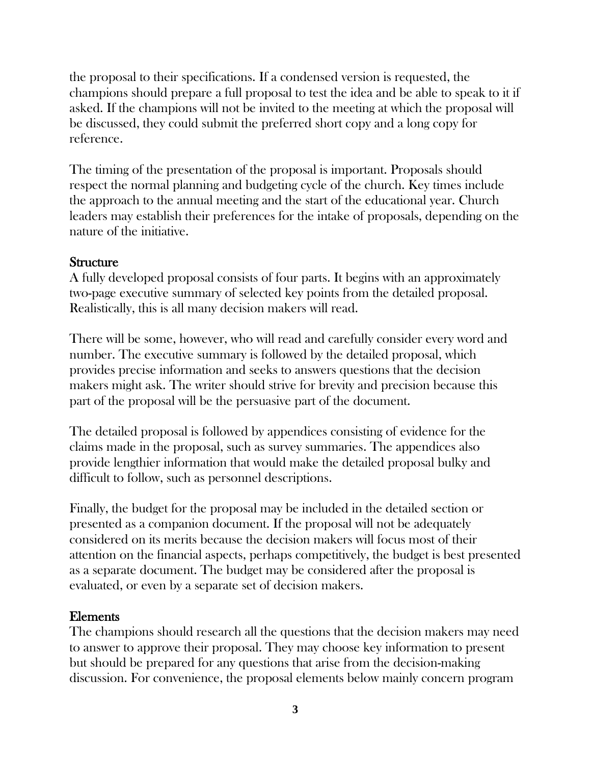the proposal to their specifications. If a condensed version is requested, the champions should prepare a full proposal to test the idea and be able to speak to it if asked. If the champions will not be invited to the meeting at which the proposal will be discussed, they could submit the preferred short copy and a long copy for reference.

The timing of the presentation of the proposal is important. Proposals should respect the normal planning and budgeting cycle of the church. Key times include the approach to the annual meeting and the start of the educational year. Church leaders may establish their preferences for the intake of proposals, depending on the nature of the initiative.

#### **Structure**

A fully developed proposal consists of four parts. It begins with an approximately two-page executive summary of selected key points from the detailed proposal. Realistically, this is all many decision makers will read.

There will be some, however, who will read and carefully consider every word and number. The executive summary is followed by the detailed proposal, which provides precise information and seeks to answers questions that the decision makers might ask. The writer should strive for brevity and precision because this part of the proposal will be the persuasive part of the document.

The detailed proposal is followed by appendices consisting of evidence for the claims made in the proposal, such as survey summaries. The appendices also provide lengthier information that would make the detailed proposal bulky and difficult to follow, such as personnel descriptions.

Finally, the budget for the proposal may be included in the detailed section or presented as a companion document. If the proposal will not be adequately considered on its merits because the decision makers will focus most of their attention on the financial aspects, perhaps competitively, the budget is best presented as a separate document. The budget may be considered after the proposal is evaluated, or even by a separate set of decision makers.

# Elements

The champions should research all the questions that the decision makers may need to answer to approve their proposal. They may choose key information to present but should be prepared for any questions that arise from the decision-making discussion. For convenience, the proposal elements below mainly concern program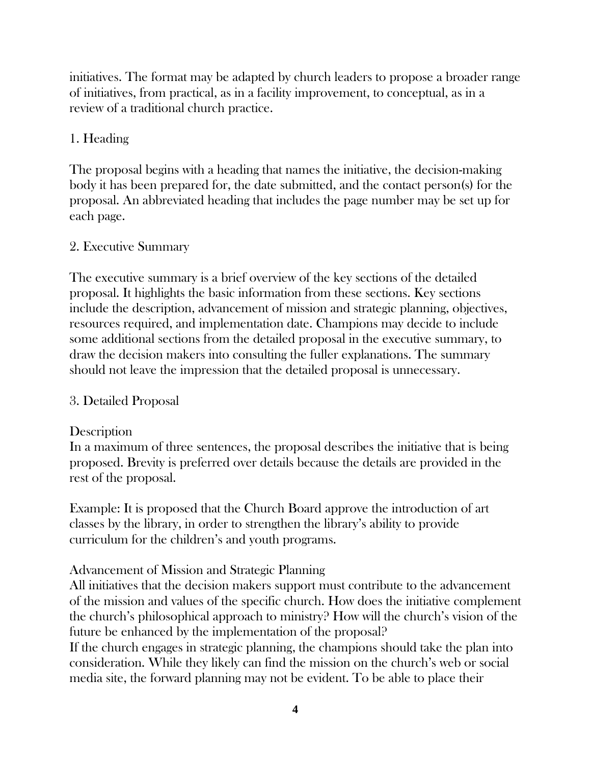initiatives. The format may be adapted by church leaders to propose a broader range of initiatives, from practical, as in a facility improvement, to conceptual, as in a review of a traditional church practice.

### 1. Heading

The proposal begins with a heading that names the initiative, the decision-making body it has been prepared for, the date submitted, and the contact person(s) for the proposal. An abbreviated heading that includes the page number may be set up for each page.

#### 2. Executive Summary

The executive summary is a brief overview of the key sections of the detailed proposal. It highlights the basic information from these sections. Key sections include the description, advancement of mission and strategic planning, objectives, resources required, and implementation date. Champions may decide to include some additional sections from the detailed proposal in the executive summary, to draw the decision makers into consulting the fuller explanations. The summary should not leave the impression that the detailed proposal is unnecessary.

#### 3. Detailed Proposal

#### **Description**

In a maximum of three sentences, the proposal describes the initiative that is being proposed. Brevity is preferred over details because the details are provided in the rest of the proposal.

Example: It is proposed that the Church Board approve the introduction of art classes by the library, in order to strengthen the library's ability to provide curriculum for the children's and youth programs.

#### Advancement of Mission and Strategic Planning

All initiatives that the decision makers support must contribute to the advancement of the mission and values of the specific church. How does the initiative complement the church's philosophical approach to ministry? How will the church's vision of the future be enhanced by the implementation of the proposal?

If the church engages in strategic planning, the champions should take the plan into consideration. While they likely can find the mission on the church's web or social media site, the forward planning may not be evident. To be able to place their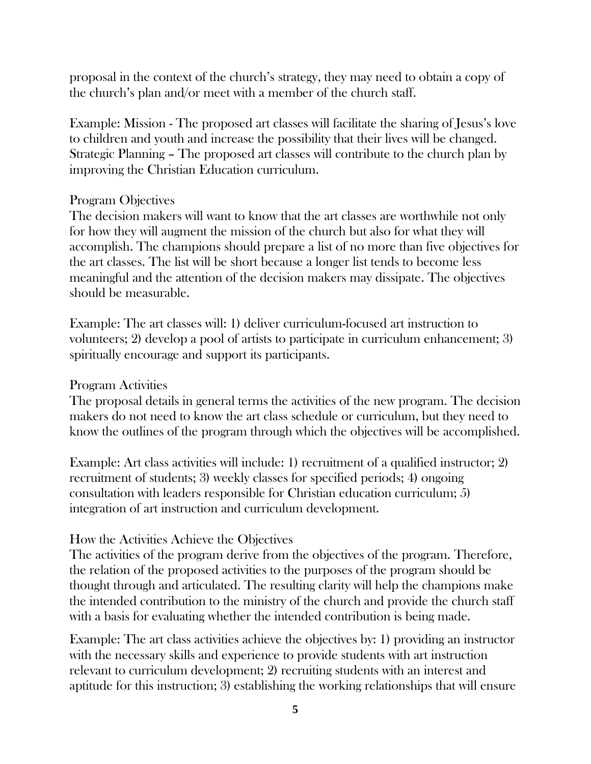proposal in the context of the church's strategy, they may need to obtain a copy of the church's plan and/or meet with a member of the church staff.

Example: Mission - The proposed art classes will facilitate the sharing of Jesus's love to children and youth and increase the possibility that their lives will be changed. Strategic Planning – The proposed art classes will contribute to the church plan by improving the Christian Education curriculum.

#### Program Objectives

The decision makers will want to know that the art classes are worthwhile not only for how they will augment the mission of the church but also for what they will accomplish. The champions should prepare a list of no more than five objectives for the art classes. The list will be short because a longer list tends to become less meaningful and the attention of the decision makers may dissipate. The objectives should be measurable.

Example: The art classes will: 1) deliver curriculum-focused art instruction to volunteers; 2) develop a pool of artists to participate in curriculum enhancement; 3) spiritually encourage and support its participants.

#### Program Activities

The proposal details in general terms the activities of the new program. The decision makers do not need to know the art class schedule or curriculum, but they need to know the outlines of the program through which the objectives will be accomplished.

Example: Art class activities will include: 1) recruitment of a qualified instructor; 2) recruitment of students; 3) weekly classes for specified periods; 4) ongoing consultation with leaders responsible for Christian education curriculum; 5) integration of art instruction and curriculum development.

#### How the Activities Achieve the Objectives

The activities of the program derive from the objectives of the program. Therefore, the relation of the proposed activities to the purposes of the program should be thought through and articulated. The resulting clarity will help the champions make the intended contribution to the ministry of the church and provide the church staff with a basis for evaluating whether the intended contribution is being made.

Example: The art class activities achieve the objectives by: 1) providing an instructor with the necessary skills and experience to provide students with art instruction relevant to curriculum development; 2) recruiting students with an interest and aptitude for this instruction; 3) establishing the working relationships that will ensure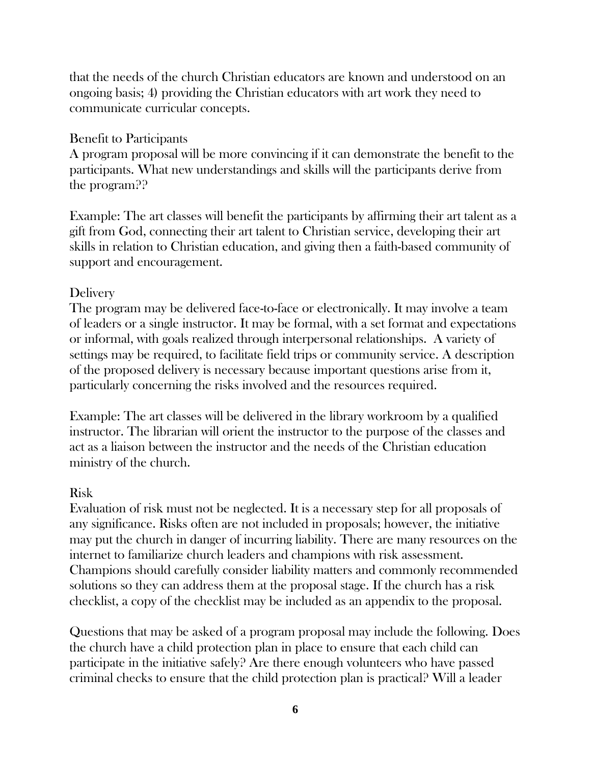that the needs of the church Christian educators are known and understood on an ongoing basis; 4) providing the Christian educators with art work they need to communicate curricular concepts.

### Benefit to Participants

A program proposal will be more convincing if it can demonstrate the benefit to the participants. What new understandings and skills will the participants derive from the program??

Example: The art classes will benefit the participants by affirming their art talent as a gift from God, connecting their art talent to Christian service, developing their art skills in relation to Christian education, and giving then a faith-based community of support and encouragement.

# **Delivery**

The program may be delivered face-to-face or electronically. It may involve a team of leaders or a single instructor. It may be formal, with a set format and expectations or informal, with goals realized through interpersonal relationships. A variety of settings may be required, to facilitate field trips or community service. A description of the proposed delivery is necessary because important questions arise from it, particularly concerning the risks involved and the resources required.

Example: The art classes will be delivered in the library workroom by a qualified instructor. The librarian will orient the instructor to the purpose of the classes and act as a liaison between the instructor and the needs of the Christian education ministry of the church.

# Risk

Evaluation of risk must not be neglected. It is a necessary step for all proposals of any significance. Risks often are not included in proposals; however, the initiative may put the church in danger of incurring liability. There are many resources on the internet to familiarize church leaders and champions with risk assessment. Champions should carefully consider liability matters and commonly recommended solutions so they can address them at the proposal stage. If the church has a risk checklist, a copy of the checklist may be included as an appendix to the proposal.

Questions that may be asked of a program proposal may include the following. Does the church have a child protection plan in place to ensure that each child can participate in the initiative safely? Are there enough volunteers who have passed criminal checks to ensure that the child protection plan is practical? Will a leader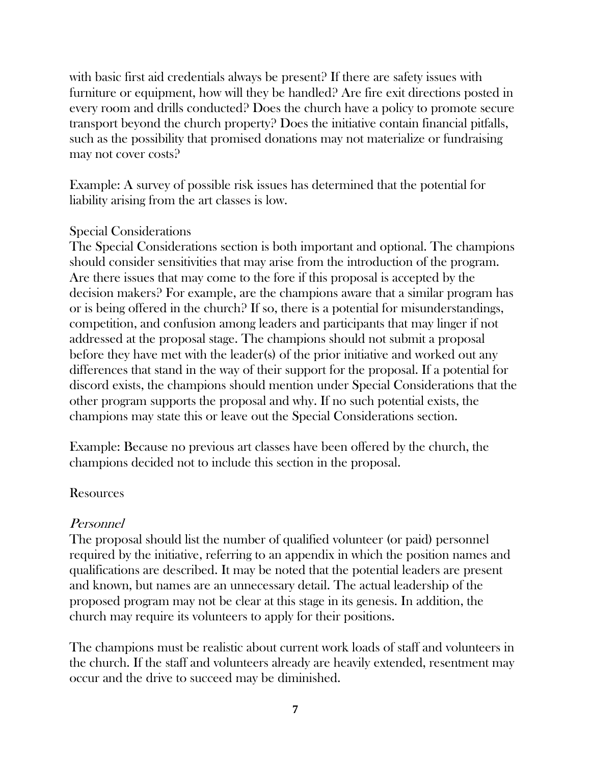with basic first aid credentials always be present? If there are safety issues with furniture or equipment, how will they be handled? Are fire exit directions posted in every room and drills conducted? Does the church have a policy to promote secure transport beyond the church property? Does the initiative contain financial pitfalls, such as the possibility that promised donations may not materialize or fundraising may not cover costs?

Example: A survey of possible risk issues has determined that the potential for liability arising from the art classes is low.

#### Special Considerations

The Special Considerations section is both important and optional. The champions should consider sensitivities that may arise from the introduction of the program. Are there issues that may come to the fore if this proposal is accepted by the decision makers? For example, are the champions aware that a similar program has or is being offered in the church? If so, there is a potential for misunderstandings, competition, and confusion among leaders and participants that may linger if not addressed at the proposal stage. The champions should not submit a proposal before they have met with the leader(s) of the prior initiative and worked out any differences that stand in the way of their support for the proposal. If a potential for discord exists, the champions should mention under Special Considerations that the other program supports the proposal and why. If no such potential exists, the champions may state this or leave out the Special Considerations section.

Example: Because no previous art classes have been offered by the church, the champions decided not to include this section in the proposal.

#### Resources

#### Personnel

The proposal should list the number of qualified volunteer (or paid) personnel required by the initiative, referring to an appendix in which the position names and qualifications are described. It may be noted that the potential leaders are present and known, but names are an unnecessary detail. The actual leadership of the proposed program may not be clear at this stage in its genesis. In addition, the church may require its volunteers to apply for their positions.

The champions must be realistic about current work loads of staff and volunteers in the church. If the staff and volunteers already are heavily extended, resentment may occur and the drive to succeed may be diminished.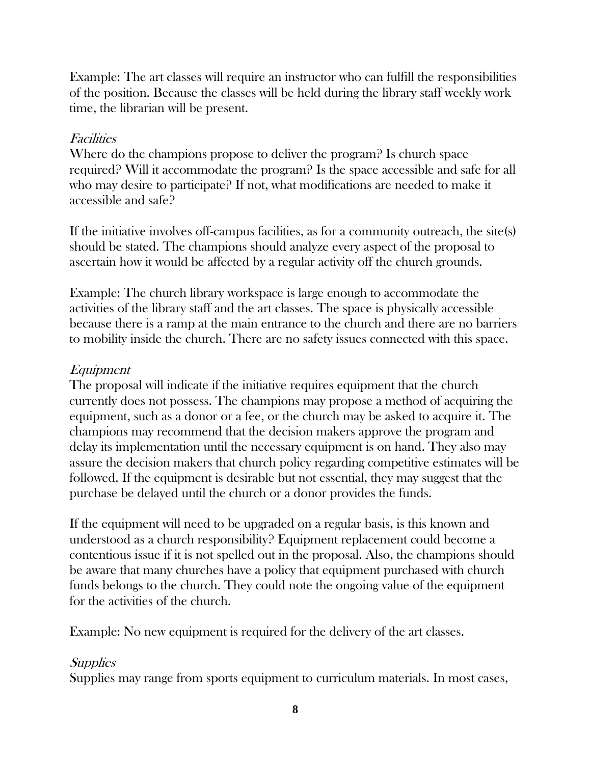Example: The art classes will require an instructor who can fulfill the responsibilities of the position. Because the classes will be held during the library staff weekly work time, the librarian will be present.

### **Facilities**

Where do the champions propose to deliver the program? Is church space required? Will it accommodate the program? Is the space accessible and safe for all who may desire to participate? If not, what modifications are needed to make it accessible and safe?

If the initiative involves off-campus facilities, as for a community outreach, the site(s) should be stated. The champions should analyze every aspect of the proposal to ascertain how it would be affected by a regular activity off the church grounds.

Example: The church library workspace is large enough to accommodate the activities of the library staff and the art classes. The space is physically accessible because there is a ramp at the main entrance to the church and there are no barriers to mobility inside the church. There are no safety issues connected with this space.

# Equipment

The proposal will indicate if the initiative requires equipment that the church currently does not possess. The champions may propose a method of acquiring the equipment, such as a donor or a fee, or the church may be asked to acquire it. The champions may recommend that the decision makers approve the program and delay its implementation until the necessary equipment is on hand. They also may assure the decision makers that church policy regarding competitive estimates will be followed. If the equipment is desirable but not essential, they may suggest that the purchase be delayed until the church or a donor provides the funds.

If the equipment will need to be upgraded on a regular basis, is this known and understood as a church responsibility? Equipment replacement could become a contentious issue if it is not spelled out in the proposal. Also, the champions should be aware that many churches have a policy that equipment purchased with church funds belongs to the church. They could note the ongoing value of the equipment for the activities of the church.

Example: No new equipment is required for the delivery of the art classes.

# **Supplies**

Supplies may range from sports equipment to curriculum materials. In most cases,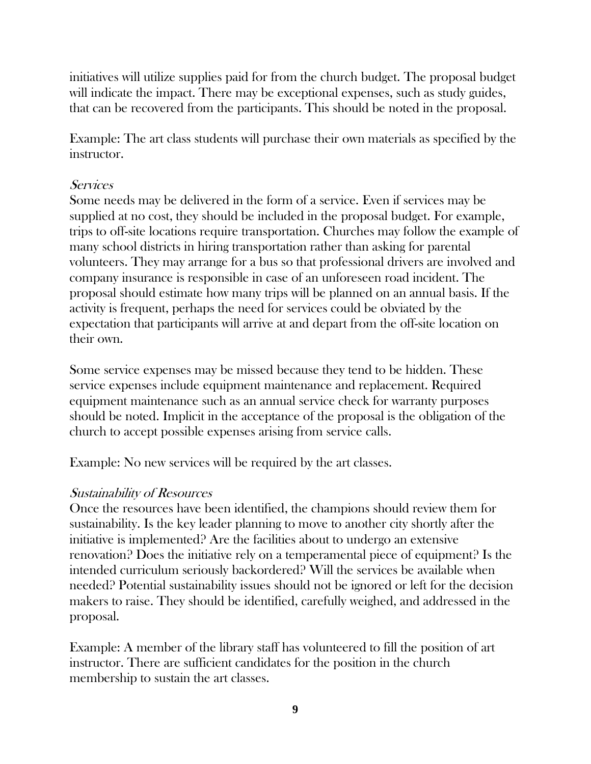initiatives will utilize supplies paid for from the church budget. The proposal budget will indicate the impact. There may be exceptional expenses, such as study guides, that can be recovered from the participants. This should be noted in the proposal.

Example: The art class students will purchase their own materials as specified by the instructor.

#### **Services**

Some needs may be delivered in the form of a service. Even if services may be supplied at no cost, they should be included in the proposal budget. For example, trips to off-site locations require transportation. Churches may follow the example of many school districts in hiring transportation rather than asking for parental volunteers. They may arrange for a bus so that professional drivers are involved and company insurance is responsible in case of an unforeseen road incident. The proposal should estimate how many trips will be planned on an annual basis. If the activity is frequent, perhaps the need for services could be obviated by the expectation that participants will arrive at and depart from the off-site location on their own.

Some service expenses may be missed because they tend to be hidden. These service expenses include equipment maintenance and replacement. Required equipment maintenance such as an annual service check for warranty purposes should be noted. Implicit in the acceptance of the proposal is the obligation of the church to accept possible expenses arising from service calls.

Example: No new services will be required by the art classes.

#### Sustainability of Resources

Once the resources have been identified, the champions should review them for sustainability. Is the key leader planning to move to another city shortly after the initiative is implemented? Are the facilities about to undergo an extensive renovation? Does the initiative rely on a temperamental piece of equipment? Is the intended curriculum seriously backordered? Will the services be available when needed? Potential sustainability issues should not be ignored or left for the decision makers to raise. They should be identified, carefully weighed, and addressed in the proposal.

Example: A member of the library staff has volunteered to fill the position of art instructor. There are sufficient candidates for the position in the church membership to sustain the art classes.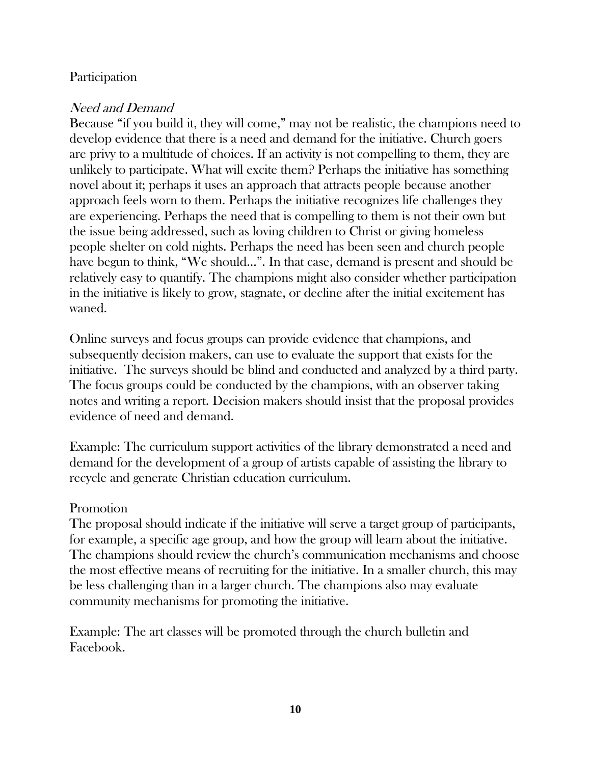#### Participation

# Need and Demand

Because "if you build it, they will come," may not be realistic, the champions need to develop evidence that there is a need and demand for the initiative. Church goers are privy to a multitude of choices. If an activity is not compelling to them, they are unlikely to participate. What will excite them? Perhaps the initiative has something novel about it; perhaps it uses an approach that attracts people because another approach feels worn to them. Perhaps the initiative recognizes life challenges they are experiencing. Perhaps the need that is compelling to them is not their own but the issue being addressed, such as loving children to Christ or giving homeless people shelter on cold nights. Perhaps the need has been seen and church people have begun to think, "We should…". In that case, demand is present and should be relatively easy to quantify. The champions might also consider whether participation in the initiative is likely to grow, stagnate, or decline after the initial excitement has waned.

Online surveys and focus groups can provide evidence that champions, and subsequently decision makers, can use to evaluate the support that exists for the initiative. The surveys should be blind and conducted and analyzed by a third party. The focus groups could be conducted by the champions, with an observer taking notes and writing a report. Decision makers should insist that the proposal provides evidence of need and demand.

Example: The curriculum support activities of the library demonstrated a need and demand for the development of a group of artists capable of assisting the library to recycle and generate Christian education curriculum.

#### Promotion

The proposal should indicate if the initiative will serve a target group of participants, for example, a specific age group, and how the group will learn about the initiative. The champions should review the church's communication mechanisms and choose the most effective means of recruiting for the initiative. In a smaller church, this may be less challenging than in a larger church. The champions also may evaluate community mechanisms for promoting the initiative.

Example: The art classes will be promoted through the church bulletin and Facebook.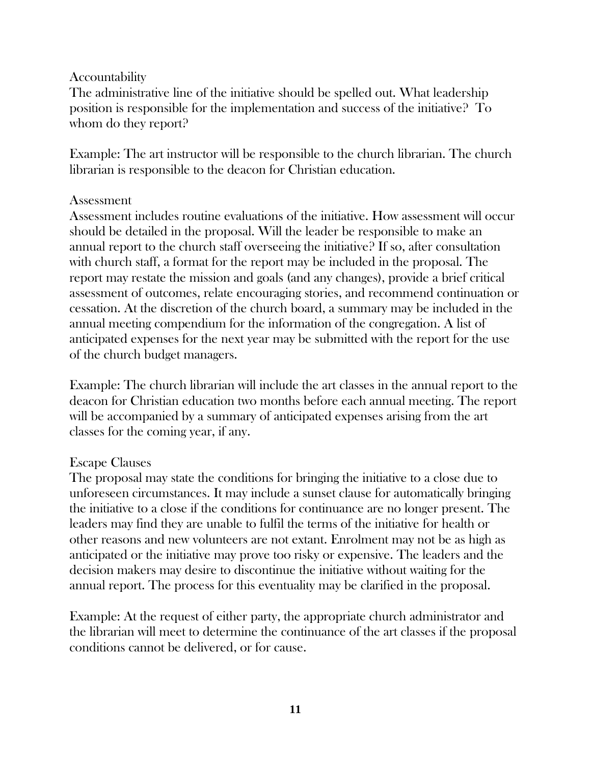#### **Accountability**

The administrative line of the initiative should be spelled out. What leadership position is responsible for the implementation and success of the initiative? To whom do they report?

Example: The art instructor will be responsible to the church librarian. The church librarian is responsible to the deacon for Christian education.

#### Assessment

Assessment includes routine evaluations of the initiative. How assessment will occur should be detailed in the proposal. Will the leader be responsible to make an annual report to the church staff overseeing the initiative? If so, after consultation with church staff, a format for the report may be included in the proposal. The report may restate the mission and goals (and any changes), provide a brief critical assessment of outcomes, relate encouraging stories, and recommend continuation or cessation. At the discretion of the church board, a summary may be included in the annual meeting compendium for the information of the congregation. A list of anticipated expenses for the next year may be submitted with the report for the use of the church budget managers.

Example: The church librarian will include the art classes in the annual report to the deacon for Christian education two months before each annual meeting. The report will be accompanied by a summary of anticipated expenses arising from the art classes for the coming year, if any.

#### Escape Clauses

The proposal may state the conditions for bringing the initiative to a close due to unforeseen circumstances. It may include a sunset clause for automatically bringing the initiative to a close if the conditions for continuance are no longer present. The leaders may find they are unable to fulfil the terms of the initiative for health or other reasons and new volunteers are not extant. Enrolment may not be as high as anticipated or the initiative may prove too risky or expensive. The leaders and the decision makers may desire to discontinue the initiative without waiting for the annual report. The process for this eventuality may be clarified in the proposal.

Example: At the request of either party, the appropriate church administrator and the librarian will meet to determine the continuance of the art classes if the proposal conditions cannot be delivered, or for cause.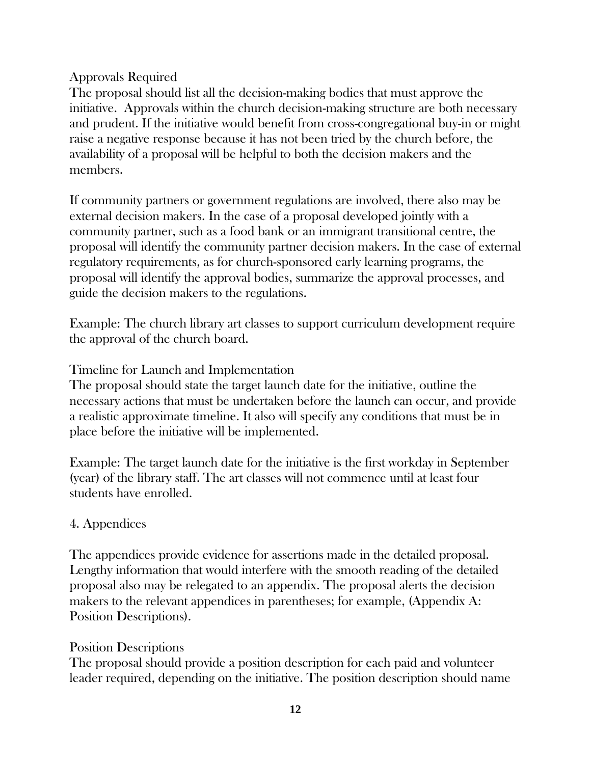### Approvals Required

The proposal should list all the decision-making bodies that must approve the initiative. Approvals within the church decision-making structure are both necessary and prudent. If the initiative would benefit from cross-congregational buy-in or might raise a negative response because it has not been tried by the church before, the availability of a proposal will be helpful to both the decision makers and the members.

If community partners or government regulations are involved, there also may be external decision makers. In the case of a proposal developed jointly with a community partner, such as a food bank or an immigrant transitional centre, the proposal will identify the community partner decision makers. In the case of external regulatory requirements, as for church-sponsored early learning programs, the proposal will identify the approval bodies, summarize the approval processes, and guide the decision makers to the regulations.

Example: The church library art classes to support curriculum development require the approval of the church board.

# Timeline for Launch and Implementation

The proposal should state the target launch date for the initiative, outline the necessary actions that must be undertaken before the launch can occur, and provide a realistic approximate timeline. It also will specify any conditions that must be in place before the initiative will be implemented.

Example: The target launch date for the initiative is the first workday in September (year) of the library staff. The art classes will not commence until at least four students have enrolled.

# 4. Appendices

The appendices provide evidence for assertions made in the detailed proposal. Lengthy information that would interfere with the smooth reading of the detailed proposal also may be relegated to an appendix. The proposal alerts the decision makers to the relevant appendices in parentheses; for example, (Appendix A: Position Descriptions).

#### Position Descriptions

The proposal should provide a position description for each paid and volunteer leader required, depending on the initiative. The position description should name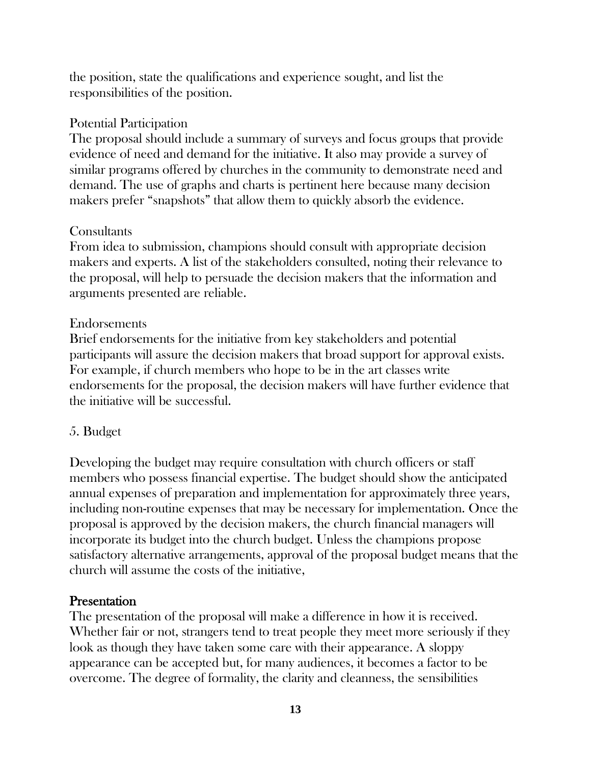the position, state the qualifications and experience sought, and list the responsibilities of the position.

### Potential Participation

The proposal should include a summary of surveys and focus groups that provide evidence of need and demand for the initiative. It also may provide a survey of similar programs offered by churches in the community to demonstrate need and demand. The use of graphs and charts is pertinent here because many decision makers prefer "snapshots" that allow them to quickly absorb the evidence.

# **Consultants**

From idea to submission, champions should consult with appropriate decision makers and experts. A list of the stakeholders consulted, noting their relevance to the proposal, will help to persuade the decision makers that the information and arguments presented are reliable.

# Endorsements

Brief endorsements for the initiative from key stakeholders and potential participants will assure the decision makers that broad support for approval exists. For example, if church members who hope to be in the art classes write endorsements for the proposal, the decision makers will have further evidence that the initiative will be successful.

# 5. Budget

Developing the budget may require consultation with church officers or staff members who possess financial expertise. The budget should show the anticipated annual expenses of preparation and implementation for approximately three years, including non-routine expenses that may be necessary for implementation. Once the proposal is approved by the decision makers, the church financial managers will incorporate its budget into the church budget. Unless the champions propose satisfactory alternative arrangements, approval of the proposal budget means that the church will assume the costs of the initiative,

# **Presentation**

The presentation of the proposal will make a difference in how it is received. Whether fair or not, strangers tend to treat people they meet more seriously if they look as though they have taken some care with their appearance. A sloppy appearance can be accepted but, for many audiences, it becomes a factor to be overcome. The degree of formality, the clarity and cleanness, the sensibilities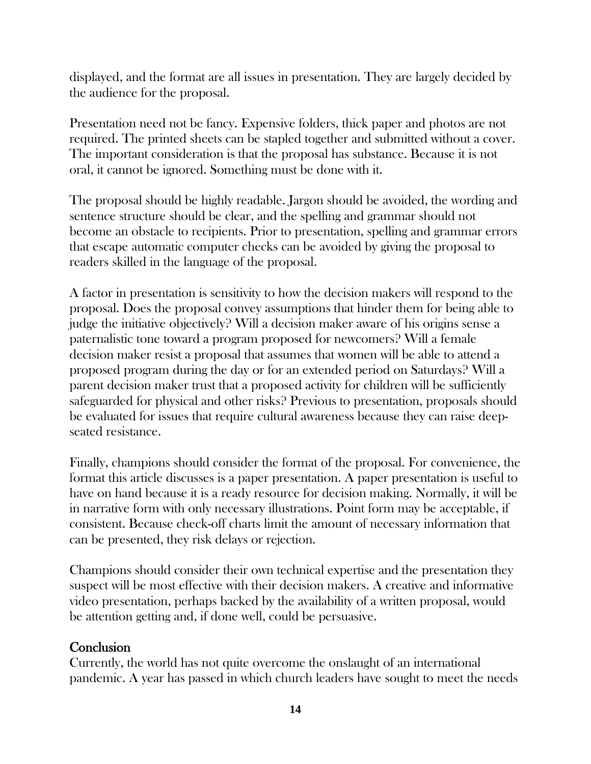displayed, and the format are all issues in presentation. They are largely decided by the audience for the proposal.

Presentation need not be fancy. Expensive folders, thick paper and photos are not required. The printed sheets can be stapled together and submitted without a cover. The important consideration is that the proposal has substance. Because it is not oral, it cannot be ignored. Something must be done with it.

The proposal should be highly readable. Jargon should be avoided, the wording and sentence structure should be clear, and the spelling and grammar should not become an obstacle to recipients. Prior to presentation, spelling and grammar errors that escape automatic computer checks can be avoided by giving the proposal to readers skilled in the language of the proposal.

A factor in presentation is sensitivity to how the decision makers will respond to the proposal. Does the proposal convey assumptions that hinder them for being able to judge the initiative objectively? Will a decision maker aware of his origins sense a paternalistic tone toward a program proposed for newcomers? Will a female decision maker resist a proposal that assumes that women will be able to attend a proposed program during the day or for an extended period on Saturdays? Will a parent decision maker trust that a proposed activity for children will be sufficiently safeguarded for physical and other risks? Previous to presentation, proposals should be evaluated for issues that require cultural awareness because they can raise deepseated resistance.

Finally, champions should consider the format of the proposal. For convenience, the format this article discusses is a paper presentation. A paper presentation is useful to have on hand because it is a ready resource for decision making. Normally, it will be in narrative form with only necessary illustrations. Point form may be acceptable, if consistent. Because check-off charts limit the amount of necessary information that can be presented, they risk delays or rejection.

Champions should consider their own technical expertise and the presentation they suspect will be most effective with their decision makers. A creative and informative video presentation, perhaps backed by the availability of a written proposal, would be attention getting and, if done well, could be persuasive.

# **Conclusion**

Currently, the world has not quite overcome the onslaught of an international pandemic. A year has passed in which church leaders have sought to meet the needs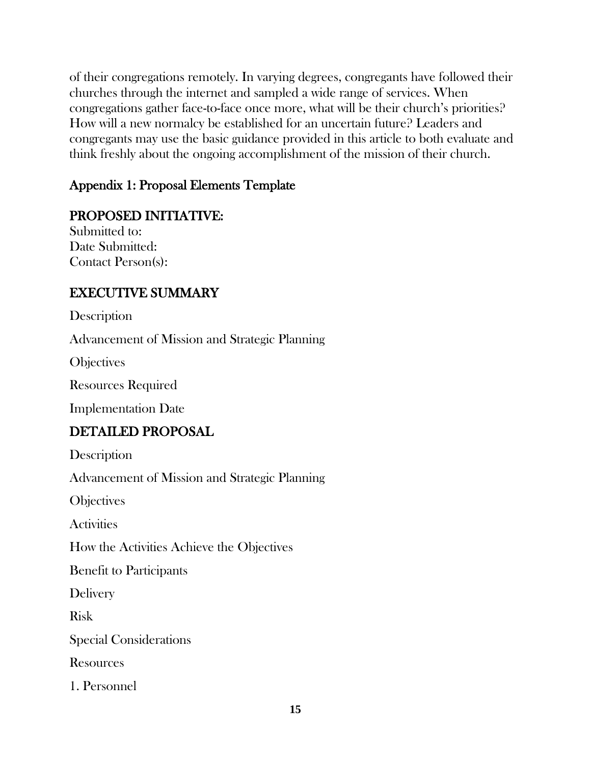of their congregations remotely. In varying degrees, congregants have followed their churches through the internet and sampled a wide range of services. When congregations gather face-to-face once more, what will be their church's priorities? How will a new normalcy be established for an uncertain future? Leaders and congregants may use the basic guidance provided in this article to both evaluate and think freshly about the ongoing accomplishment of the mission of their church.

# Appendix 1: Proposal Elements Template

# PROPOSED INITIATIVE:

Submitted to: Date Submitted: Contact Person(s):

# EXECUTIVE SUMMARY

**Description** 

Advancement of Mission and Strategic Planning

**Objectives** 

Resources Required

Implementation Date

# DETAILED PROPOSAL

**Description** 

Advancement of Mission and Strategic Planning

**Objectives** 

**Activities** 

How the Activities Achieve the Objectives

Benefit to Participants

Delivery

Risk

Special Considerations

**Resources** 

1. Personnel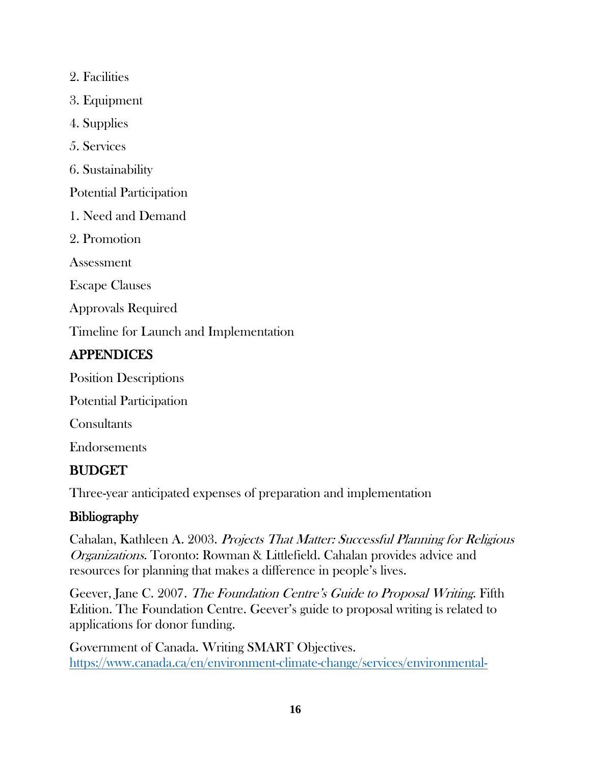2. Facilities

3. Equipment

4. Supplies

5. Services

6. Sustainability

Potential Participation

1. Need and Demand

2. Promotion

Assessment

Escape Clauses

Approvals Required

Timeline for Launch and Implementation

# **APPENDICES**

Position Descriptions

Potential Participation

**Consultants** 

Endorsements

# BUDGET

Three-year anticipated expenses of preparation and implementation

# **Bibliography**

Cahalan, Kathleen A. 2003. Projects That Matter: Successful Planning for Religious Organizations. Toronto: Rowman & Littlefield. Cahalan provides advice and resources for planning that makes a difference in people's lives.

Geever, Jane C. 2007. The Foundation Centre's Guide to Proposal Writing. Fifth Edition. The Foundation Centre. Geever's guide to proposal writing is related to applications for donor funding.

Government of Canada. Writing SMART Objectives. [https://www.canada.ca/en/environment-climate-change/services/environmental-](https://www.canada.ca/en/environment-climate-change/services/environmental-funding/tools-for-applying/writing-smart-objectives.html)